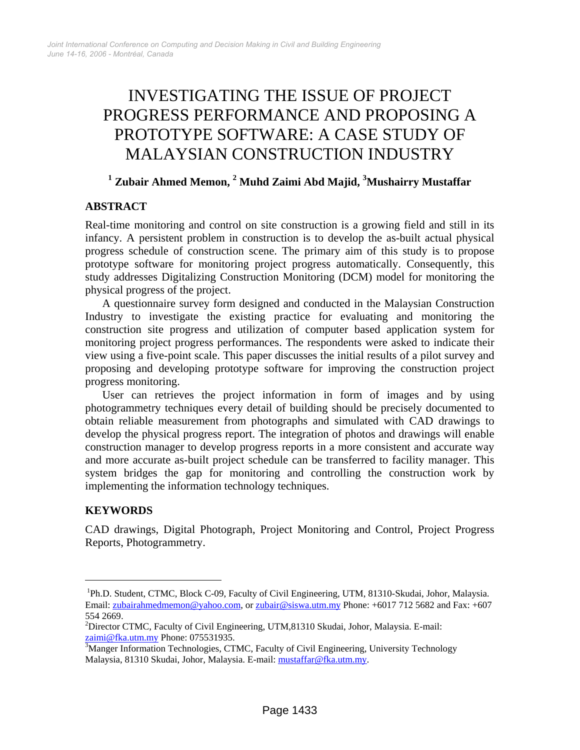# INVESTIGATING THE ISSUE OF PROJECT PROGRESS PERFORMANCE AND PROPOSING A PROTOTYPE SOFTWARE: A CASE STUDY OF MALAYSIAN CONSTRUCTION INDUSTRY

# <sup>1</sup> Zubair Ahmed Memon, <sup>2</sup> Muhd Zaimi Abd Majid, <sup>3</sup>Mushairry Mustaffar

#### **ABSTRACT**

Real-time monitoring and control on site construction is a growing field and still in its infancy. A persistent problem in construction is to develop the as-built actual physical progress schedule of construction scene. The primary aim of this study is to propose prototype software for monitoring project progress automatically. Consequently, this study addresses Digitalizing Construction Monitoring (DCM) model for monitoring the physical progress of the project.

A questionnaire survey form designed and conducted in the Malaysian Construction Industry to investigate the existing practice for evaluating and monitoring the construction site progress and utilization of computer based application system for monitoring project progress performances. The respondents were asked to indicate their view using a five-point scale. This paper discusses the initial results of a pilot survey and proposing and developing prototype software for improving the construction project progress monitoring.

User can retrieves the project information in form of images and by using photogrammetry techniques every detail of building should be precisely documented to obtain reliable measurement from photographs and simulated with CAD drawings to develop the physical progress report. The integration of photos and drawings will enable construction manager to develop progress reports in a more consistent and accurate way and more accurate as-built project schedule can be transferred to facility manager. This system bridges the gap for monitoring and controlling the construction work by implementing the information technology techniques.

## **KEYWORDS**

 $\overline{a}$ 

CAD drawings, Digital Photograph, Project Monitoring and Control, Project Progress [R](#page-0-0)eports, Photogrammetry.

<span id="page-0-0"></span><sup>&</sup>lt;sup>1</sup>Ph.D. Student, CTMC, Block C-09, Faculty of Civil Engineering, UTM, 81310-Skudai, Johor, Malaysia. Email: [zubairahmedmemon@yahoo.com](mailto:zubairahmedmemon@yahoo.com), or [zubair@siswa.utm.my](mailto:zubair@siswa.utm.my) Phone: +6017 712 5682 and Fax: +607 554 2669.

<sup>&</sup>lt;sup>2</sup>Director CTMC, Faculty of Civil Engineering, UTM,81310 Skudai, Johor, Malaysia. E-mail: [zaimi@fka.utm.my](mailto:Zaimi@fka.utm.my) Phone: 0755[3](mailto:Zaimi@fka.utm.my)1935.

<sup>&</sup>lt;sup>3</sup>Manger Information Technologies, CTMC, Faculty of Civil Engineering, University Technology Malaysia, 81310 Skudai, Johor, Malaysia. E-mail: [mustaffar@fka.utm.my](mailto:mustaffar@fka.utm.my).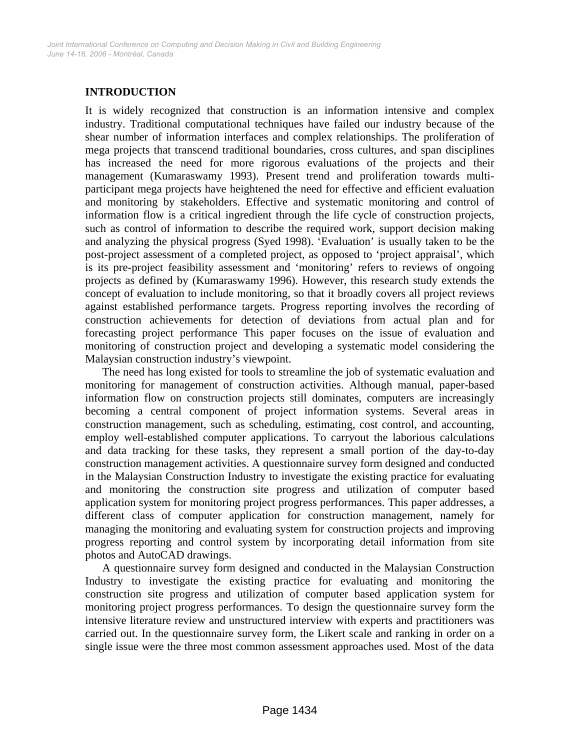# **INTRODUCTION**

It is widely recognized that construction is an information intensive and complex industry. Traditional computational techniques have failed our industry because of the shear number of information interfaces and complex relationships. The proliferation of mega projects that transcend traditional boundaries, cross cultures, and span disciplines has increased the need for more rigorous evaluations of the projects and their management (Kumaraswamy 1993). Present trend and proliferation towards multiparticipant mega projects have heightened the need for effective and efficient evaluation and monitoring by stakeholders. Effective and systematic monitoring and control of information flow is a critical ingredient through the life cycle of construction projects, such as control of information to describe the required work, support decision making and analyzing the physical progress (Syed 1998). 'Evaluation' is usually taken to be the post-project assessment of a completed project, as opposed to 'project appraisal', which is its pre-project feasibility assessment and 'monitoring' refers to reviews of ongoing projects as defined by (Kumaraswamy 1996). However, this research study extends the concept of evaluation to include monitoring, so that it broadly covers all project reviews against established performance targets. Progress reporting involves the recording of construction achievements for detection of deviations from actual plan and for forecasting project performance This paper focuses on the issue of evaluation and monitoring of construction project and developing a systematic model considering the Malaysian construction industry's viewpoint.

The need has long existed for tools to streamline the job of systematic evaluation and monitoring for management of construction activities. Although manual, paper-based information flow on construction projects still dominates, computers are increasingly becoming a central component of project information systems. Several areas in construction management, such as scheduling, estimating, cost control, and accounting, employ well-established computer applications. To carryout the laborious calculations and data tracking for these tasks, they represent a small portion of the day-to-day construction management activities. A questionnaire survey form designed and conducted in the Malaysian Construction Industry to investigate the existing practice for evaluating and monitoring the construction site progress and utilization of computer based application system for monitoring project progress performances. This paper addresses, a different class of computer application for construction management, namely for managing the monitoring and evaluating system for construction projects and improving progress reporting and control system by incorporating detail information from site photos and AutoCAD drawings.

A questionnaire survey form designed and conducted in the Malaysian Construction Industry to investigate the existing practice for evaluating and monitoring the construction site progress and utilization of computer based application system for monitoring project progress performances. To design the questionnaire survey form the intensive literature review and unstructured interview with experts and practitioners was carried out. In the questionnaire survey form, the Likert scale and ranking in order on a single issue were the three most common assessment approaches used. Most of the data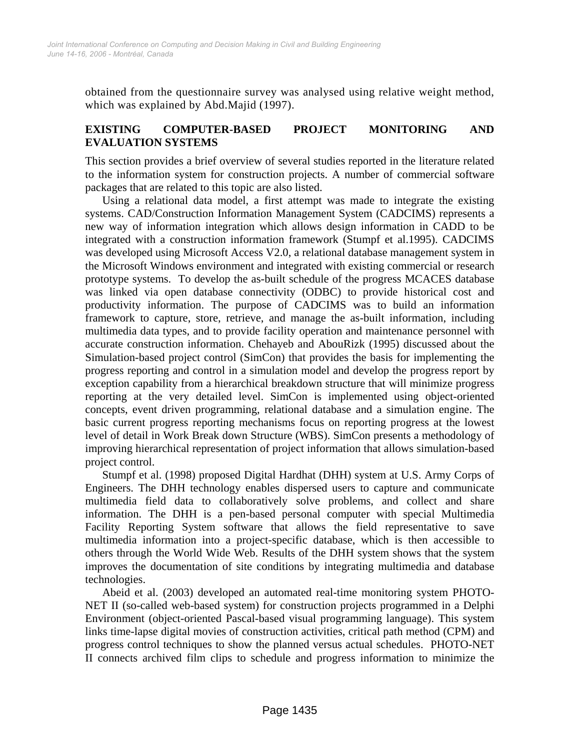obtained from the questionnaire survey was analysed using relative weight method, which was explained by Abd.Majid (1997).

## **EXISTING COMPUTER-BASED PROJECT MONITORING AND EVALUATION SYSTEMS**

This section provides a brief overview of several studies reported in the literature related to the information system for construction projects. A number of commercial software packages that are related to this topic are also listed.

Using a relational data model, a first attempt was made to integrate the existing systems. CAD/Construction Information Management System (CADCIMS) represents a new way of information integration which allows design information in CADD to be integrated with a construction information framework (Stumpf et al.1995). CADCIMS was developed using Microsoft Access V2.0, a relational database management system in the Microsoft Windows environment and integrated with existing commercial or research prototype systems. To develop the as-built schedule of the progress MCACES database was linked via open database connectivity (ODBC) to provide historical cost and productivity information. The purpose of CADCIMS was to build an information framework to capture, store, retrieve, and manage the as-built information, including multimedia data types, and to provide facility operation and maintenance personnel with accurate construction information. Chehayeb and AbouRizk (1995) discussed about the Simulation-based project control (SimCon) that provides the basis for implementing the progress reporting and control in a simulation model and develop the progress report by exception capability from a hierarchical breakdown structure that will minimize progress reporting at the very detailed level. SimCon is implemented using object-oriented concepts, event driven programming, relational database and a simulation engine. The basic current progress reporting mechanisms focus on reporting progress at the lowest level of detail in Work Break down Structure (WBS). SimCon presents a methodology of improving hierarchical representation of project information that allows simulation-based project control.

Stumpf et al. (1998) proposed Digital Hardhat (DHH) system at U.S. Army Corps of Engineers. The DHH technology enables dispersed users to capture and communicate multimedia field data to collaboratively solve problems, and collect and share information. The DHH is a pen-based personal computer with special Multimedia Facility Reporting System software that allows the field representative to save multimedia information into a project-specific database, which is then accessible to others through the World Wide Web. Results of the DHH system shows that the system improves the documentation of site conditions by integrating multimedia and database technologies.

Abeid et al. (2003) developed an automated real-time monitoring system PHOTO-NET II (so-called web-based system) for construction projects programmed in a Delphi Environment (object-oriented Pascal-based visual programming language). This system links time-lapse digital movies of construction activities, critical path method (CPM) and progress control techniques to show the planned versus actual schedules. PHOTO-NET II connects archived film clips to schedule and progress information to minimize the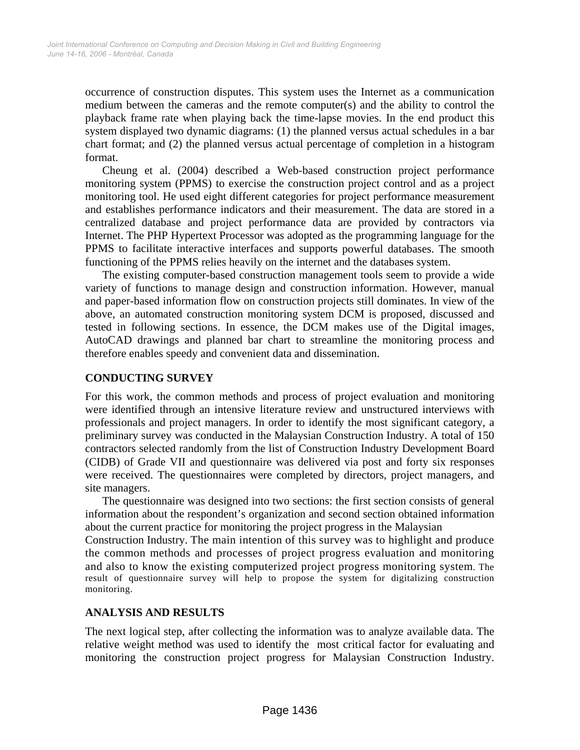occurrence of construction disputes. This system uses the Internet as a communication medium between the cameras and the remote computer(s) and the ability to control the playback frame rate when playing back the time-lapse movies. In the end product this system displayed two dynamic diagrams: (1) the planned versus actual schedules in a bar chart format; and (2) the planned versus actual percentage of completion in a histogram format.

Cheung et al. (2004) described a Web-based construction project performance monitoring system (PPMS) to exercise the construction project control and as a project monitoring tool. He used eight different categories for project performance measurement and establishes performance indicators and their measurement. The data are stored in a centralized database and project performance data are provided by contractors via Internet. The PHP Hypertext Processor was adopted as the programming language for the PPMS to facilitate interactive interfaces and supports powerful databases. The smooth functioning of the PPMS relies heavily on the internet and the databases system.

The existing computer-based construction management tools seem to provide a wide variety of functions to manage design and construction information. However, manual and paper-based information flow on construction projects still dominates. In view of the above, an automated construction monitoring system DCM is proposed, discussed and tested in following sections. In essence, the DCM makes use of the Digital images, AutoCAD drawings and planned bar chart to streamline the monitoring process and therefore enables speedy and convenient data and dissemination.

### **CONDUCTING SURVEY**

For this work, the common methods and process of project evaluation and monitoring were identified through an intensive literature review and unstructured interviews with professionals and project managers. In order to identify the most significant category, a preliminary survey was conducted in the Malaysian Construction Industry. A total of 150 contractors selected randomly from the list of Construction Industry Development Board (CIDB) of Grade VII and questionnaire was delivered via post and forty six responses were received. The questionnaires were completed by directors, project managers, and site managers.

The questionnaire was designed into two sections: the first section consists of general information about the respondent's organization and second section obtained information about the current practice for monitoring the project progress in the Malaysian

Construction Industry. The main intention of this survey was to highlight and produce the common methods and processes of project progress evaluation and monitoring and also to know the existing computerized project progress monitoring system. The result of questionnaire survey will help to propose the system for digitalizing construction monitoring.

#### **ANALYSIS AND RESULTS**

The next logical step, after collecting the information was to analyze available data. The relative weight method was used to identify the most critical factor for evaluating and monitoring the construction project progress for Malaysian Construction Industry.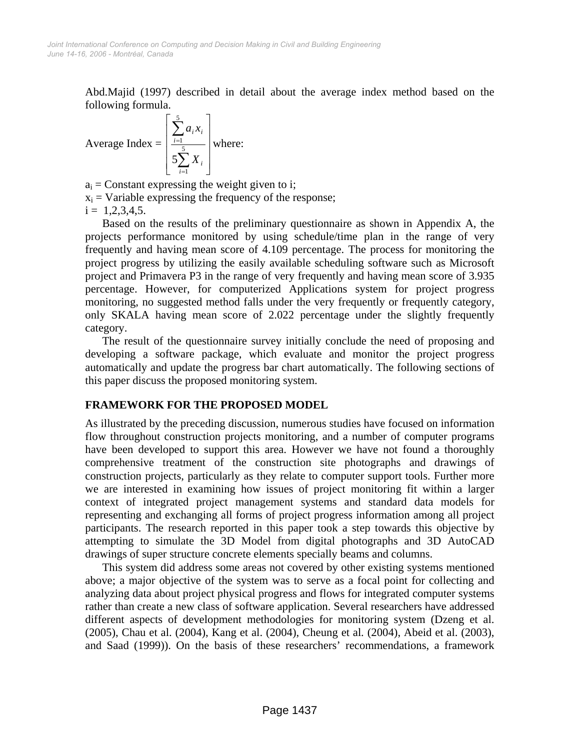Abd.Majid (1997) described in detail about the average index method based on the following formula.

Average Index = 
$$
\left[\frac{\sum_{i=1}^{5} a_i x_i}{5\sum_{i=1}^{5} X_i}\right]
$$
 where:

 $a_i$  = Constant expressing the weight given to i;

 $x_i$  = Variable expressing the frequency of the response;

 $i = 1,2,3,4,5.$ 

Based on the results of the preliminary questionnaire as shown in Appendix A, the projects performance monitored by using schedule/time plan in the range of very frequently and having mean score of 4.109 percentage. The process for monitoring the project progress by utilizing the easily available scheduling software such as Microsoft project and Primavera P3 in the range of very frequently and having mean score of 3.935 percentage. However, for computerized Applications system for project progress monitoring, no suggested method falls under the very frequently or frequently category, only SKALA having mean score of 2.022 percentage under the slightly frequently category.

The result of the questionnaire survey initially conclude the need of proposing and developing a software package, which evaluate and monitor the project progress automatically and update the progress bar chart automatically. The following sections of this paper discuss the proposed monitoring system.

#### **FRAMEWORK FOR THE PROPOSED MODEL**

As illustrated by the preceding discussion, numerous studies have focused on information flow throughout construction projects monitoring, and a number of computer programs have been developed to support this area. However we have not found a thoroughly comprehensive treatment of the construction site photographs and drawings of construction projects, particularly as they relate to computer support tools. Further more we are interested in examining how issues of project monitoring fit within a larger context of integrated project management systems and standard data models for representing and exchanging all forms of project progress information among all project participants. The research reported in this paper took a step towards this objective by attempting to simulate the 3D Model from digital photographs and 3D AutoCAD drawings of super structure concrete elements specially beams and columns.

This system did address some areas not covered by other existing systems mentioned above; a major objective of the system was to serve as a focal point for collecting and analyzing data about project physical progress and flows for integrated computer systems rather than create a new class of software application. Several researchers have addressed different aspects of development methodologies for monitoring system (Dzeng et al. (2005), Chau et al. (2004), Kang et al. (2004), Cheung et al*.* (2004), Abeid et al. (2003), and Saad (1999)). On the basis of these researchers' recommendations, a framework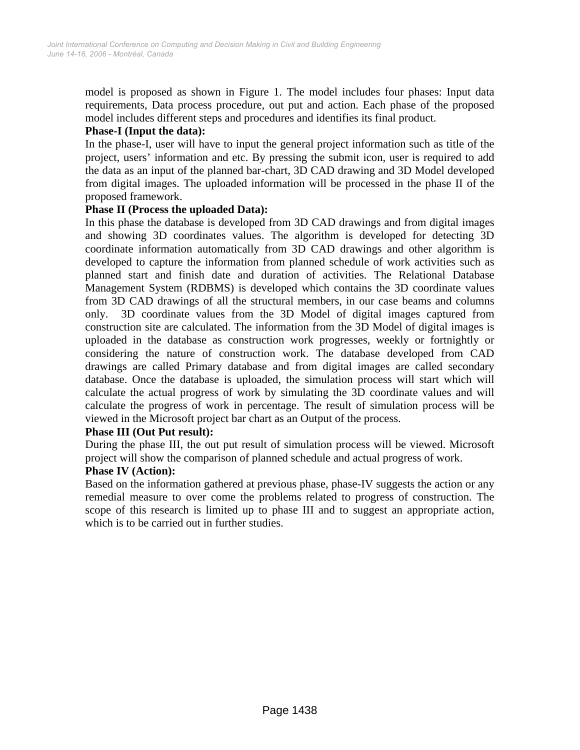model is proposed as shown in Figure 1. The model includes four phases: Input data requirements, Data process procedure, out put and action. Each phase of the proposed model includes different steps and procedures and identifies its final product.

### **Phase-I (Input the data):**

In the phase-I, user will have to input the general project information such as title of the project, users' information and etc. By pressing the submit icon, user is required to add the data as an input of the planned bar-chart, 3D CAD drawing and 3D Model developed from digital images. The uploaded information will be processed in the phase II of the proposed framework.

#### **Phase II (Process the uploaded Data):**

In this phase the database is developed from 3D CAD drawings and from digital images and showing 3D coordinates values. The algorithm is developed for detecting 3D coordinate information automatically from 3D CAD drawings and other algorithm is developed to capture the information from planned schedule of work activities such as planned start and finish date and duration of activities. The Relational Database Management System (RDBMS) is developed which contains the 3D coordinate values from 3D CAD drawings of all the structural members, in our case beams and columns only. 3D coordinate values from the 3D Model of digital images captured from construction site are calculated. The information from the 3D Model of digital images is uploaded in the database as construction work progresses, weekly or fortnightly or considering the nature of construction work. The database developed from CAD drawings are called Primary database and from digital images are called secondary database. Once the database is uploaded, the simulation process will start which will calculate the actual progress of work by simulating the 3D coordinate values and will calculate the progress of work in percentage. The result of simulation process will be viewed in the Microsoft project bar chart as an Output of the process.

#### **Phase III (Out Put result):**

During the phase III, the out put result of simulation process will be viewed. Microsoft project will show the comparison of planned schedule and actual progress of work.

#### **Phase IV (Action):**

Based on the information gathered at previous phase, phase-IV suggests the action or any remedial measure to over come the problems related to progress of construction. The scope of this research is limited up to phase III and to suggest an appropriate action, which is to be carried out in further studies.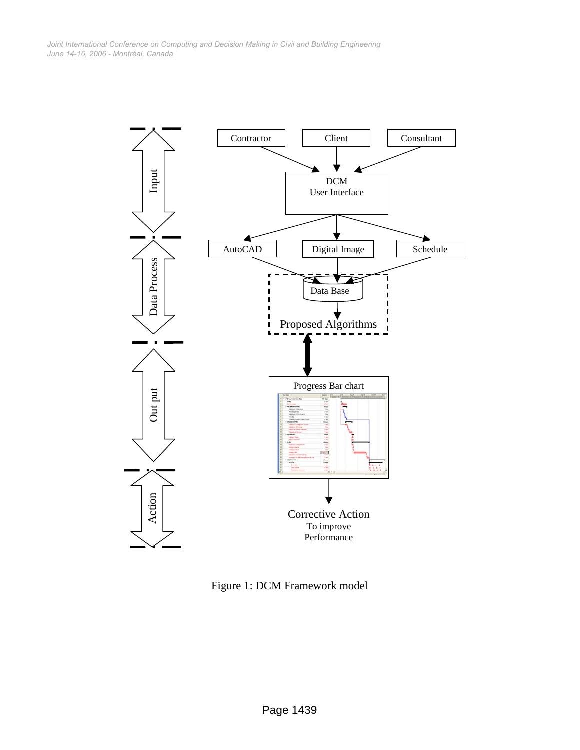*June 14-16, 2006 - Montréal, Canada Joint International Conference on Computing and Decision Making in Civil and Building Engineering*



Figure 1: DCM Framework model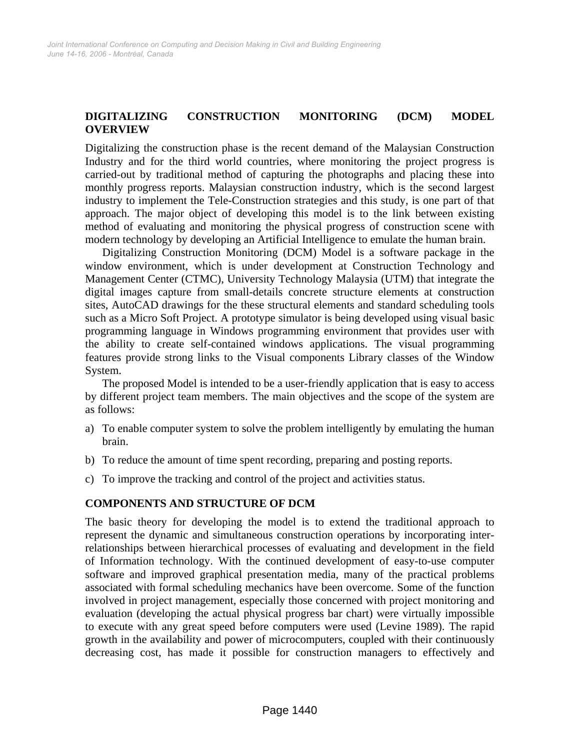# **DIGITALIZING CONSTRUCTION MONITORING (DCM) MODEL OVERVIEW**

Digitalizing the construction phase is the recent demand of the Malaysian Construction Industry and for the third world countries, where monitoring the project progress is carried-out by traditional method of capturing the photographs and placing these into monthly progress reports. Malaysian construction industry, which is the second largest industry to implement the Tele-Construction strategies and this study, is one part of that approach. The major object of developing this model is to the link between existing method of evaluating and monitoring the physical progress of construction scene with modern technology by developing an Artificial Intelligence to emulate the human brain.

Digitalizing Construction Monitoring (DCM) Model is a software package in the window environment, which is under development at Construction Technology and Management Center (CTMC), University Technology Malaysia (UTM) that integrate the digital images capture from small-details concrete structure elements at construction sites, AutoCAD drawings for the these structural elements and standard scheduling tools such as a Micro Soft Project. A prototype simulator is being developed using visual basic programming language in Windows programming environment that provides user with the ability to create self-contained windows applications. The visual programming features provide strong links to the Visual components Library classes of the Window System.

The proposed Model is intended to be a user-friendly application that is easy to access by different project team members. The main objectives and the scope of the system are as follows:

- a) To enable computer system to solve the problem intelligently by emulating the human brain.
- b) To reduce the amount of time spent recording, preparing and posting reports.
- c) To improve the tracking and control of the project and activities status.

#### **COMPONENTS AND STRUCTURE OF DCM**

The basic theory for developing the model is to extend the traditional approach to represent the dynamic and simultaneous construction operations by incorporating interrelationships between hierarchical processes of evaluating and development in the field of Information technology. With the continued development of easy-to-use computer software and improved graphical presentation media, many of the practical problems associated with formal scheduling mechanics have been overcome. Some of the function involved in project management, especially those concerned with project monitoring and evaluation (developing the actual physical progress bar chart) were virtually impossible to execute with any great speed before computers were used (Levine 1989). The rapid growth in the availability and power of microcomputers, coupled with their continuously decreasing cost, has made it possible for construction managers to effectively and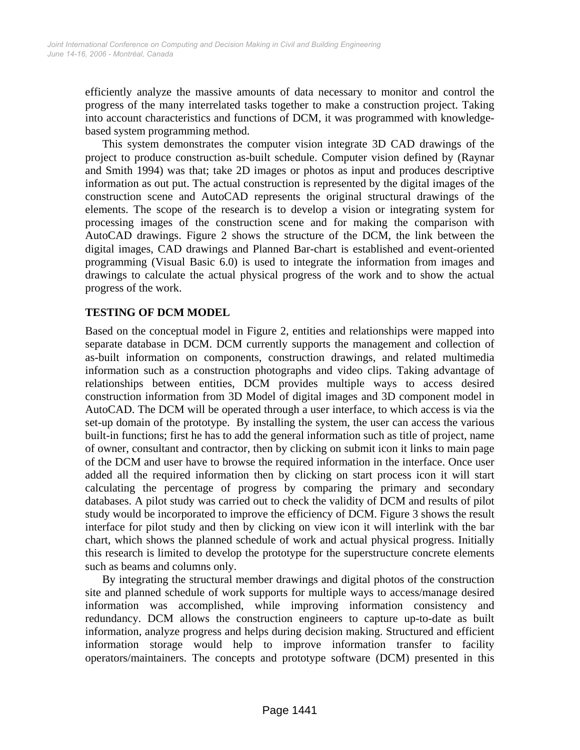efficiently analyze the massive amounts of data necessary to monitor and control the progress of the many interrelated tasks together to make a construction project. Taking into account characteristics and functions of DCM, it was programmed with knowledgebased system programming method.

This system demonstrates the computer vision integrate 3D CAD drawings of the project to produce construction as-built schedule. Computer vision defined by (Raynar and Smith 1994) was that; take 2D images or photos as input and produces descriptive information as out put. The actual construction is represented by the digital images of the construction scene and AutoCAD represents the original structural drawings of the elements. The scope of the research is to develop a vision or integrating system for processing images of the construction scene and for making the comparison with AutoCAD drawings. Figure 2 shows the structure of the DCM, the link between the digital images, CAD drawings and Planned Bar-chart is established and event-oriented programming (Visual Basic 6.0) is used to integrate the information from images and drawings to calculate the actual physical progress of the work and to show the actual progress of the work.

# **TESTING OF DCM MODEL**

Based on the conceptual model in Figure 2, entities and relationships were mapped into separate database in DCM. DCM currently supports the management and collection of as-built information on components, construction drawings, and related multimedia information such as a construction photographs and video clips. Taking advantage of relationships between entities, DCM provides multiple ways to access desired construction information from 3D Model of digital images and 3D component model in AutoCAD. The DCM will be operated through a user interface, to which access is via the set-up domain of the prototype. By installing the system, the user can access the various built-in functions; first he has to add the general information such as title of project, name of owner, consultant and contractor, then by clicking on submit icon it links to main page of the DCM and user have to browse the required information in the interface. Once user added all the required information then by clicking on start process icon it will start calculating the percentage of progress by comparing the primary and secondary databases. A pilot study was carried out to check the validity of DCM and results of pilot study would be incorporated to improve the efficiency of DCM. Figure 3 shows the result interface for pilot study and then by clicking on view icon it will interlink with the bar chart, which shows the planned schedule of work and actual physical progress. Initially this research is limited to develop the prototype for the superstructure concrete elements such as beams and columns only.

By integrating the structural member drawings and digital photos of the construction site and planned schedule of work supports for multiple ways to access/manage desired information was accomplished, while improving information consistency and redundancy. DCM allows the construction engineers to capture up-to-date as built information, analyze progress and helps during decision making. Structured and efficient information storage would help to improve information transfer to facility operators/maintainers. The concepts and prototype software (DCM) presented in this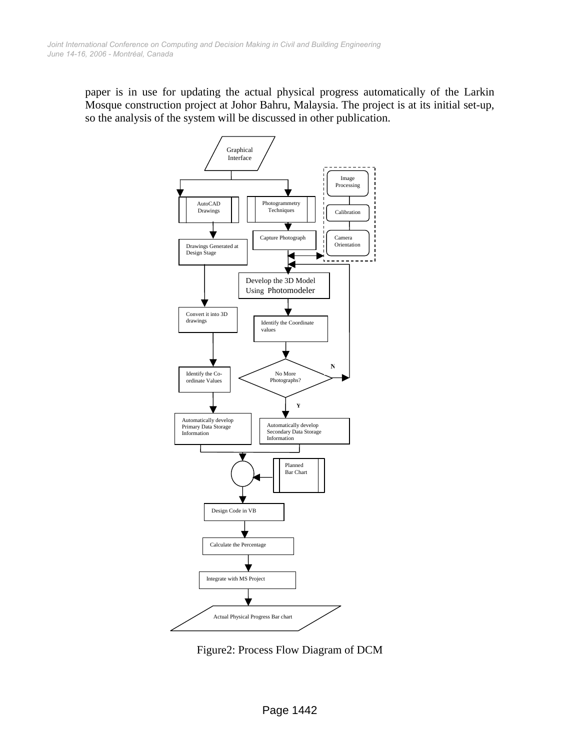paper is in use for updating the actual physical progress automatically of the Larkin Mosque construction project at Johor Bahru, Malaysia. The project is at its initial set-up, so the analysis of the system will be discussed in other publication.



Figure2: Process Flow Diagram of DCM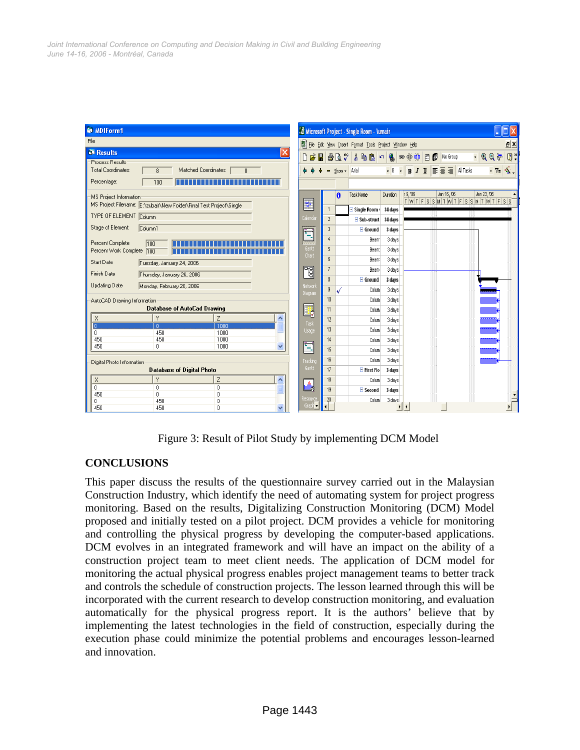| MDIForm1                                                                                                          |                            |                 |              | & Microsoft Project - Single Room - \umair             |                       |                          |                       |                                     |                  |
|-------------------------------------------------------------------------------------------------------------------|----------------------------|-----------------|--------------|--------------------------------------------------------|-----------------------|--------------------------|-----------------------|-------------------------------------|------------------|
| File                                                                                                              | ø                          |                 |              | File Edit View Insert Format Tools Project Window Help |                       |                          |                       |                                     | E X              |
| <b>Results</b><br>×                                                                                               | $B$ $B$ $B$ $C$ $C$        |                 |              | るも思い                                                   |                       |                          | Q ∞ ※ 第 目 C No Group  | $-$ QQ $_{\odot}$                   | $\boxed{2}$      |
| <b>Process Results</b><br>Total Coordinates:<br>Matched Coordinates:<br>$\overline{8}$<br>8<br>Percentage:<br>100 |                            |                 | Show - Arial |                                                        | $-8$                  | $\overline{\phantom{a}}$ | B I U E E E All Tasks |                                     | -8<br>$\sqrt{7}$ |
| MS Project Information                                                                                            |                            |                 | $\theta$     | <b>Task Name</b>                                       | Duration              | 19,06                    | Jan 16, '06           | Jan 23, '06<br>TWTFSSMTWTFSSMTWTFSS |                  |
| MS Project Filename: E:\zubair\New Folder\Final Test Project\Single                                               | E                          | $\overline{1}$  |              | Single Room 34 days                                    |                       |                          |                       |                                     |                  |
| <b>TYPE OF ELEMENT Column</b>                                                                                     | Calendar                   | $\overline{2}$  |              | $\exists$ Sub-struct                                   | 34 days               |                          |                       |                                     |                  |
| Stage of Element:<br>Column1                                                                                      |                            | $\mathbf{3}$    |              | $\Xi$ Ground                                           | 3 days                |                          |                       |                                     |                  |
| Percent Complete<br>100                                                                                           | É                          | $\Delta$        |              | Beam                                                   | 3 days                |                          |                       |                                     |                  |
| Percent Work Complete<br>100                                                                                      | Gantt<br>Chart             | 5               |              | Beam:                                                  | 3 days                |                          |                       |                                     |                  |
| Start Date<br>Tuesday, January 24, 2006                                                                           |                            | $6\phantom{.0}$ |              | Beam:                                                  | 3 days                |                          |                       |                                     |                  |
| Finish Date<br>Thursday, January 26, 2006                                                                         | 岡                          | $\overline{7}$  |              | Bean-                                                  | 3 days                |                          |                       |                                     |                  |
| <b>Updating Date</b><br>Monday, February 20, 2006                                                                 | Network                    | 8               |              | $\blacksquare$ Ground                                  | 3 davs                |                          |                       |                                     |                  |
|                                                                                                                   | Diagram                    | $\overline{9}$  |              | Colum                                                  | 3 days                |                          |                       |                                     |                  |
| AutoCAD Drawing Information<br>Database of AutoCad Drawing                                                        |                            | 10              |              | Colum                                                  | 3 days                |                          |                       |                                     |                  |
| Z<br>$\times$<br>Y<br>ㅅ                                                                                           | l,                         | 11              |              | Colum                                                  | 3 days                |                          |                       |                                     |                  |
| 1000<br>$\mathbf{0}$                                                                                              | Task                       | 12<br>13        |              | Colum                                                  | 3 days                |                          |                       |                                     |                  |
| $\mathsf{n}$<br>450<br>1000<br>450<br>450<br>1000                                                                 | Usage                      | 14              |              | Colum                                                  | 3 days                |                          |                       |                                     |                  |
| 450<br>$\mathbf{0}$<br>1000<br>v                                                                                  | t                          | 15              |              | Colum                                                  | 3 days                |                          |                       |                                     |                  |
|                                                                                                                   |                            | 16              |              | Colum<br>Colum                                         | 3 days                |                          |                       |                                     |                  |
| Digital Photo Information<br><b>Database of Digital Photo</b>                                                     | Tracking<br>Gantt          | 17              |              | $E$ First Flo                                          | 3 days<br>3 days      |                          |                       |                                     |                  |
| X<br>Y<br>$\overline{z}$<br>ㅅ                                                                                     |                            | 18              |              | Colum                                                  | 3 days                |                          |                       |                                     |                  |
| $\overline{0}$<br>$\overline{0}$<br>$\mathbf{0}$                                                                  | <b><u>udi</u>k</b>         | 19              |              | $\equiv$ Second                                        | 3 days                |                          |                       |                                     |                  |
| 450<br>$\overline{0}$<br>0<br>450<br>0<br>0.                                                                      | Resource                   | 20              |              | Colum                                                  | 3 days                |                          |                       |                                     |                  |
| 450<br>450<br>0.<br>$\checkmark$                                                                                  | Graph $\blacktriangledown$ |                 |              |                                                        | $\blacktriangleright$ | и                        |                       |                                     |                  |

Figure 3: Result of Pilot Study by implementing DCM Model

## **CONCLUSIONS**

This paper discuss the results of the questionnaire survey carried out in the Malaysian Construction Industry, which identify the need of automating system for project progress monitoring. Based on the results, Digitalizing Construction Monitoring (DCM) Model proposed and initially tested on a pilot project. DCM provides a vehicle for monitoring and controlling the physical progress by developing the computer-based applications. DCM evolves in an integrated framework and will have an impact on the ability of a construction project team to meet client needs. The application of DCM model for monitoring the actual physical progress enables project management teams to better track and controls the schedule of construction projects. The lesson learned through this will be incorporated with the current research to develop construction monitoring, and evaluation automatically for the physical progress report. It is the authors' believe that by implementing the latest technologies in the field of construction, especially during the execution phase could minimize the potential problems and encourages lesson-learned and innovation.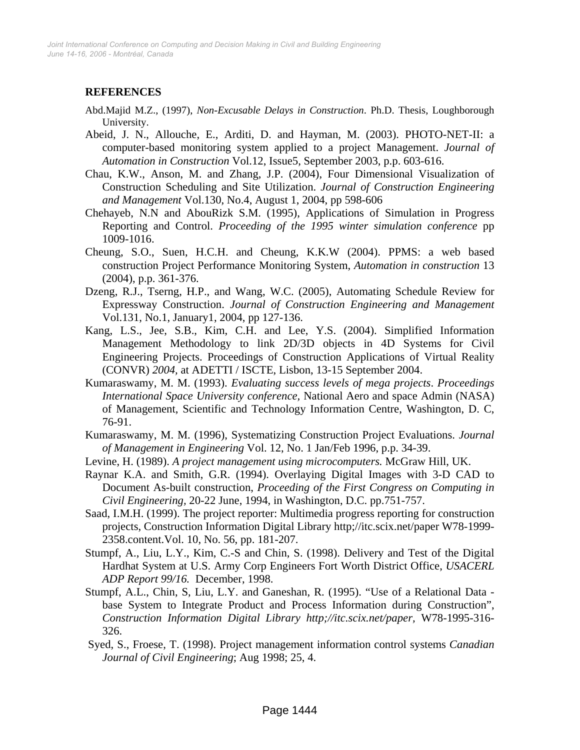# **REFERENCES**

- Abd.Majid M.Z., (1997), *Non-Excusable Delays in Construction*. Ph.D. Thesis, Loughborough University.
- Abeid, J. N., Allouche, E., Arditi, D. and Hayman, M. (2003). PHOTO-NET-II: a computer-based monitoring system applied to a project Management. *Journal of Automation in Construction* Vol.12, Issue5, September 2003, p.p. 603-616.
- Chau, K.W., Anson, M. and Zhang, J.P. (2004), Four Dimensional Visualization of Construction Scheduling and Site Utilization. *Journal of Construction Engineering and Management* Vol.130, No.4, August 1, 2004, pp 598-606
- Chehayeb, N.N and AbouRizk S.M. (1995), Applications of Simulation in Progress Reporting and Control. *Proceeding of the 1995 winter simulation conference* pp 1009-1016.
- Cheung, S.O., Suen, H.C.H. and Cheung, K.K.W (2004). PPMS: a web based construction Project Performance Monitoring System, *Automation in construction* 13 (2004), p.p. 361-376.
- Dzeng, R.J., Tserng, H.P., and Wang, W.C. (2005), Automating Schedule Review for Expressway Construction. *Journal of Construction Engineering and Management* Vol.131, No.1, January1, 2004, pp 127-136.
- Kang, L.S., Jee, S.B., Kim, C.H. and Lee, Y.S. (2004). Simplified Information Management Methodology to link 2D/3D objects in 4D Systems for Civil Engineering Projects. Proceedings of Construction Applications of Virtual Reality (CONVR) *2004,* at ADETTI / ISCTE, Lisbon, 13-15 September 2004.
- Kumaraswamy, M. M. (1993). *Evaluating success levels of mega projects*. *Proceedings International Space University conference,* National Aero and space Admin (NASA) of Management, Scientific and Technology Information Centre, Washington, D. C, 76-91.
- Kumaraswamy, M. M. (1996), Systematizing Construction Project Evaluations. *Journal of Management in Engineering* Vol. 12, No. 1 Jan/Feb 1996, p.p. 34-39.
- Levine, H. (1989). *A project management using microcomputers.* McGraw Hill, UK.
- Raynar K.A. and Smith, G.R. (1994). Overlaying Digital Images with 3-D CAD to Document As-built construction, *Proceeding of the First Congress on Computing in Civil Engineering,* 20-22 June, 1994, in Washington, D.C. pp.751-757.
- Saad, I.M.H. (1999). The project reporter: Multimedia progress reporting for construction projects, Construction Information Digital Library http;//itc.scix.net/paper W78-1999- 2358.content.Vol. 10, No. 56, pp. 181-207.
- Stumpf, A., Liu, L.Y., Kim, C.-S and Chin, S. (1998). Delivery and Test of the Digital Hardhat System at U.S. Army Corp Engineers Fort Worth District Office, *USACERL ADP Report 99/16.* December, 1998.
- Stumpf, A.L., Chin, S, Liu, L.Y. and Ganeshan, R. (1995). "Use of a Relational Data base System to Integrate Product and Process Information during Construction", *Construction Information Digital Library http;//itc.scix.net/paper,* W78-1995-316- 326.
- Syed, S., Froese, T. (1998). Project management information control systems *Canadian Journal of Civil Engineering*; Aug 1998; 25, 4.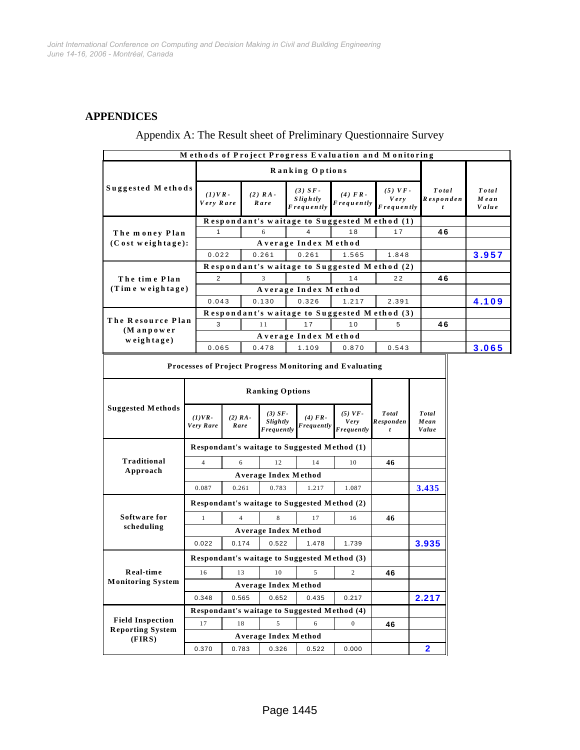### **APPENDICES**

| Appendix A: The Result sheet of Preliminary Questionnaire Survey |  |
|------------------------------------------------------------------|--|
|------------------------------------------------------------------|--|

|                                       |                        |                                              |                                              |                                            | Methods of Project Progress Evaluation and Monitoring   |                                        |  |                               |       |                        |
|---------------------------------------|------------------------|----------------------------------------------|----------------------------------------------|--------------------------------------------|---------------------------------------------------------|----------------------------------------|--|-------------------------------|-------|------------------------|
|                                       |                        | Ranking Options                              |                                              |                                            |                                                         |                                        |  |                               |       |                        |
| Suggested Methods                     | $(1)VR$ -<br>Very Rare |                                              | $(2)$ $RA-$<br>Rare                          | $(3)$ SF-<br>Slightly<br><b>Frequently</b> | (4) FR<br><b>Frequently</b>                             | $(5)$ VF-<br>Very<br><b>Frequently</b> |  | Total<br>Responden<br>t       |       | Total<br>Mean<br>Value |
|                                       |                        |                                              |                                              |                                            | Respondant's waitage to Suggested Method (1)            |                                        |  |                               |       |                        |
| The money Plan                        | 1                      |                                              | 6                                            | 4                                          | 18                                                      | 17                                     |  | 46                            |       |                        |
| (Cost weightage):                     |                        |                                              |                                              | Average Index Method                       |                                                         |                                        |  |                               |       |                        |
|                                       | 0.022                  |                                              | 0.261                                        | 0.261                                      | 1.565                                                   | 1.848                                  |  |                               |       | 3.957                  |
|                                       |                        |                                              |                                              |                                            | Respondant's waitage to Suggested Method (2)            |                                        |  |                               |       |                        |
| The time Plan                         | $\overline{2}$         |                                              | 3<br>5<br>14                                 |                                            |                                                         | 22                                     |  | 46                            |       |                        |
| (Tim e weightage)                     |                        | Average Index Method                         |                                              |                                            |                                                         |                                        |  |                               |       |                        |
|                                       |                        | 0.043<br>0.130<br>0.326<br>1.217<br>2.391    |                                              |                                            |                                                         |                                        |  |                               | 4.109 |                        |
| The Resource Plan                     |                        |                                              |                                              |                                            | Respondant's waitage to Suggested Method (3)            |                                        |  |                               |       |                        |
| $(M$ anpower                          | 3                      |                                              | 11                                           | 17                                         | 10                                                      | 5                                      |  | 46                            |       |                        |
| $w$ eightage)                         |                        |                                              |                                              | Average Index Method                       |                                                         |                                        |  |                               |       |                        |
|                                       | 0.065                  |                                              | 0.478                                        | 1.109                                      | 0.870                                                   | 0.543                                  |  |                               |       | 3.065                  |
|                                       |                        |                                              |                                              |                                            | Processes of Project Progress Monitoring and Evaluating |                                        |  |                               |       |                        |
|                                       |                        |                                              |                                              |                                            |                                                         |                                        |  |                               |       |                        |
|                                       |                        | <b>Ranking Options</b>                       |                                              |                                            |                                                         |                                        |  |                               |       |                        |
| <b>Suggested Methods</b>              | $(1)VR-$<br>Very Rare  | $(2) RA -$<br>Rare                           | $(3)$ SF-<br>Slightly<br>Frequently          | $(4) FR-$<br>Frequently                    | $(5)$ VF-<br>Very<br><b>Frequently</b>                  | Total<br>Responden<br>$\mathbf{t}$     |  | Total<br>Mean<br><b>Value</b> |       |                        |
|                                       |                        | Respondant's waitage to Suggested Method (1) |                                              |                                            |                                                         |                                        |  |                               |       |                        |
| Traditional                           | $\overline{4}$         | 6                                            | 12                                           | 14                                         | 10                                                      | 46                                     |  |                               |       |                        |
| Approach                              |                        | Average Index Method                         |                                              |                                            |                                                         |                                        |  |                               |       |                        |
|                                       | 0.087                  | 0.261                                        | 0.783                                        | 1.217                                      | 1.087                                                   |                                        |  | 3.435                         |       |                        |
|                                       |                        |                                              | Respondant's waitage to Suggested Method (2) |                                            |                                                         |                                        |  |                               |       |                        |
| Software for                          | $\mathbf{1}$           | $\overline{4}$                               | 8                                            | 17                                         | 16                                                      | 46                                     |  |                               |       |                        |
| scheduling                            |                        | <b>Average Index Method</b>                  |                                              |                                            |                                                         |                                        |  |                               |       |                        |
|                                       | 0.022                  | 0.174                                        | 0.522                                        | 1.478                                      | 1.739                                                   |                                        |  | 3.935                         |       |                        |
| Real-time<br><b>Monitoring System</b> |                        |                                              | Respondant's waitage to Suggested Method (3) |                                            |                                                         |                                        |  |                               |       |                        |
|                                       | 16                     | 13                                           | 10                                           | 5                                          | 2                                                       | 46                                     |  |                               |       |                        |
|                                       |                        | Average Index Method                         |                                              |                                            |                                                         |                                        |  |                               |       |                        |
|                                       | 0.348                  | 0.565                                        | 0.652                                        | 0.435                                      | 0.217                                                   |                                        |  | 2.217                         |       |                        |
|                                       |                        |                                              | Respondant's waitage to Suggested Method (4) |                                            |                                                         |                                        |  |                               |       |                        |
| <b>Field Inspection</b>               | 17                     | 18                                           | $\mathfrak{s}$                               | 6                                          | $\boldsymbol{0}$                                        | 46                                     |  |                               |       |                        |
| <b>Reporting System</b>               |                        | <b>Average Index Method</b>                  |                                              |                                            |                                                         |                                        |  |                               |       |                        |
| (FIRST)                               | 0.370                  | 0.783                                        | 0.326                                        | 0.522                                      | 0.000                                                   |                                        |  | $\mathbf{2}$                  |       |                        |
|                                       |                        |                                              |                                              |                                            |                                                         |                                        |  |                               |       |                        |